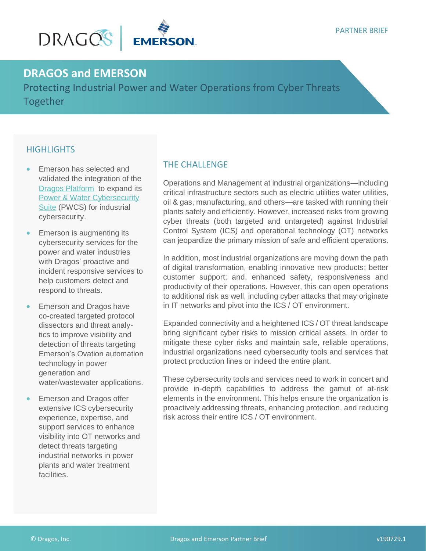

# **DRAGOS and EMERSON**

Protecting Industrial Power and Water Operations from Cyber Threats Together

## **HIGHLIGHTS**

- Emerson has selected and validated the integration of the [Dragos Platform](https://dragos.com/platform/) to expand its [Power & Water Cybersecurity](https://www.emerson.com/en-us/automation/control-and-safety-systems/distributed-control-systems-dcs/ovation-distributed-control-system/ics-cyber-security) [Suite](https://www.emerson.com/en-us/automation/control-and-safety-systems/distributed-control-systems-dcs/ovation-distributed-control-system/ics-cyber-security) (PWCS) for industrial cybersecurity.
- Emerson is augmenting its cybersecurity services for the power and water industries with Dragos' proactive and incident responsive services to help customers detect and respond to threats.
- Emerson and Dragos have co-created targeted protocol dissectors and threat analytics to improve visibility and detection of threats targeting Emerson's Ovation automation technology in power generation and water/wastewater applications.
- Emerson and Dragos offer extensive ICS cybersecurity experience, expertise, and support services to enhance visibility into OT networks and detect threats targeting industrial networks in power plants and water treatment facilities.

### THE CHALLENGE

Operations and Management at industrial organizations—including critical infrastructure sectors such as electric utilities water utilities, oil & gas, manufacturing, and others—are tasked with running their plants safely and efficiently. However, increased risks from growing cyber threats (both targeted and untargeted) against Industrial Control System (ICS) and operational technology (OT) networks can jeopardize the primary mission of safe and efficient operations.

In addition, most industrial organizations are moving down the path of digital transformation, enabling innovative new products; better customer support; and, enhanced safety, responsiveness and productivity of their operations. However, this can open operations to additional risk as well, including cyber attacks that may originate in IT networks and pivot into the ICS / OT environment.

Expanded connectivity and a heightened ICS / OT threat landscape bring significant cyber risks to mission critical assets. In order to mitigate these cyber risks and maintain safe, reliable operations, industrial organizations need cybersecurity tools and services that protect production lines or indeed the entire plant.

These cybersecurity tools and services need to work in concert and provide in-depth capabilities to address the gamut of at-risk elements in the environment. This helps ensure the organization is proactively addressing threats, enhancing protection, and reducing risk across their entire ICS / OT environment.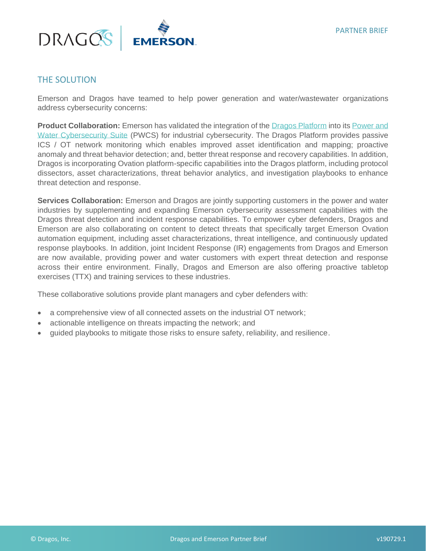

#### THE SOLUTION

Emerson and Dragos have teamed to help power generation and water/wastewater organizations address cybersecurity concerns:

**Product Collaboration:** Emerson has validated the integration of the [Dragos Platform](https://dragos.com/platform/) into its [Power and](https://www.emerson.com/en-us/automation/control-and-safety-systems/distributed-control-systems-dcs/ovation-distributed-control-system/ics-cyber-security)  [Water Cybersecurity Suite](https://www.emerson.com/en-us/automation/control-and-safety-systems/distributed-control-systems-dcs/ovation-distributed-control-system/ics-cyber-security) (PWCS) for industrial cybersecurity. The Dragos Platform provides passive ICS / OT network monitoring which enables improved asset identification and mapping; proactive anomaly and threat behavior detection; and, better threat response and recovery capabilities. In addition, Dragos is incorporating Ovation platform-specific capabilities into the Dragos platform, including protocol dissectors, asset characterizations, threat behavior analytics, and investigation playbooks to enhance threat detection and response.

**Services Collaboration:** Emerson and Dragos are jointly supporting customers in the power and water industries by supplementing and expanding Emerson cybersecurity assessment capabilities with the Dragos threat detection and incident response capabilities. To empower cyber defenders, Dragos and Emerson are also collaborating on content to detect threats that specifically target Emerson Ovation automation equipment, including asset characterizations, threat intelligence, and continuously updated response playbooks. In addition, joint Incident Response (IR) engagements from Dragos and Emerson are now available, providing power and water customers with expert threat detection and response across their entire environment. Finally, Dragos and Emerson are also offering proactive tabletop exercises (TTX) and training services to these industries.

These collaborative solutions provide plant managers and cyber defenders with:

- a comprehensive view of all connected assets on the industrial OT network;
- actionable intelligence on threats impacting the network; and
- guided playbooks to mitigate those risks to ensure safety, reliability, and resilience.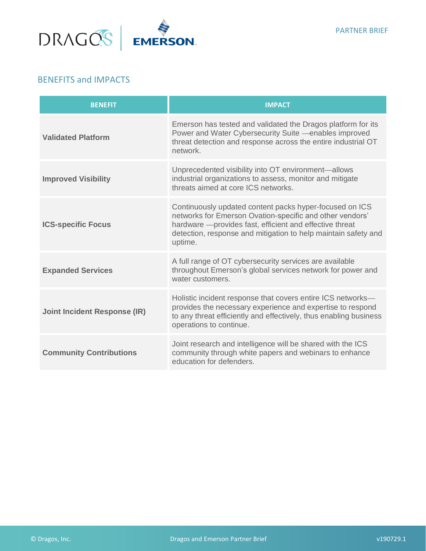

#### BENEFITS and IMPACTS

| <b>BENEFIT</b>                      | <b>IMPACT</b>                                                                                                                                                                                                                                                |
|-------------------------------------|--------------------------------------------------------------------------------------------------------------------------------------------------------------------------------------------------------------------------------------------------------------|
| <b>Validated Platform</b>           | Emerson has tested and validated the Dragos platform for its<br>Power and Water Cybersecurity Suite - enables improved<br>threat detection and response across the entire industrial OT<br>network.                                                          |
| <b>Improved Visibility</b>          | Unprecedented visibility into OT environment-allows<br>industrial organizations to assess, monitor and mitigate<br>threats aimed at core ICS networks.                                                                                                       |
| <b>ICS-specific Focus</b>           | Continuously updated content packs hyper-focused on ICS<br>networks for Emerson Ovation-specific and other vendors'<br>hardware - provides fast, efficient and effective threat<br>detection, response and mitigation to help maintain safety and<br>uptime. |
| <b>Expanded Services</b>            | A full range of OT cybersecurity services are available<br>throughout Emerson's global services network for power and<br>water customers.                                                                                                                    |
| <b>Joint Incident Response (IR)</b> | Holistic incident response that covers entire ICS networks-<br>provides the necessary experience and expertise to respond<br>to any threat efficiently and effectively, thus enabling business<br>operations to continue.                                    |
| <b>Community Contributions</b>      | Joint research and intelligence will be shared with the ICS<br>community through white papers and webinars to enhance<br>education for defenders.                                                                                                            |